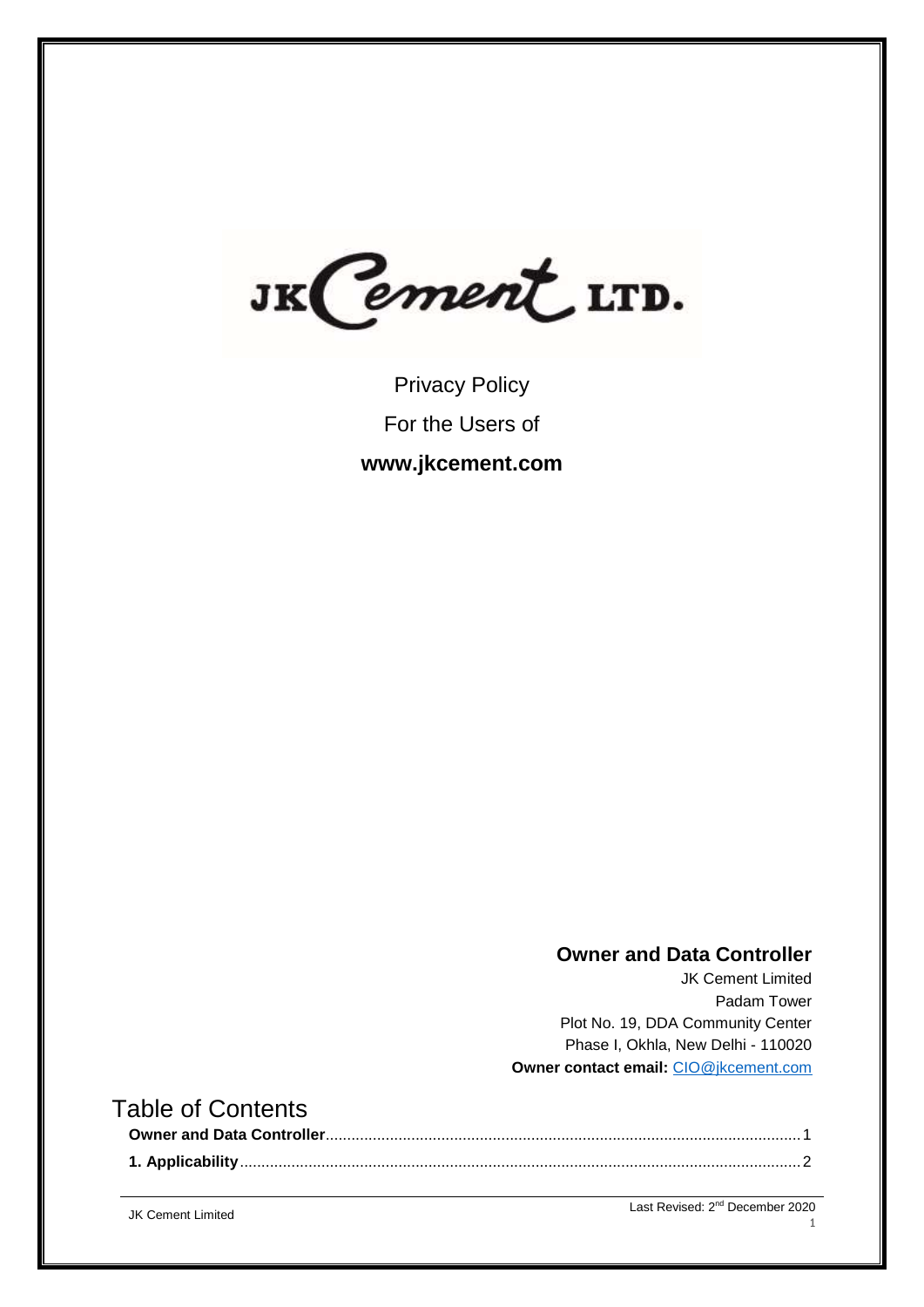JK Cement LTD.

Privacy Policy For the Users of **www.jkcement.com**

# **Owner and Data Controller**

JK Cement Limited Padam Tower Plot No. 19, DDA Community Center Phase I, Okhla, New Delhi - 110020 **Owner contact email:** [CIO@jkcement.com](mailto:CIO@jkcement.com)

# <span id="page-0-0"></span>Table of Contents

JK Cement Limited

Last Revised: 2<sup>nd</sup> December 2020

1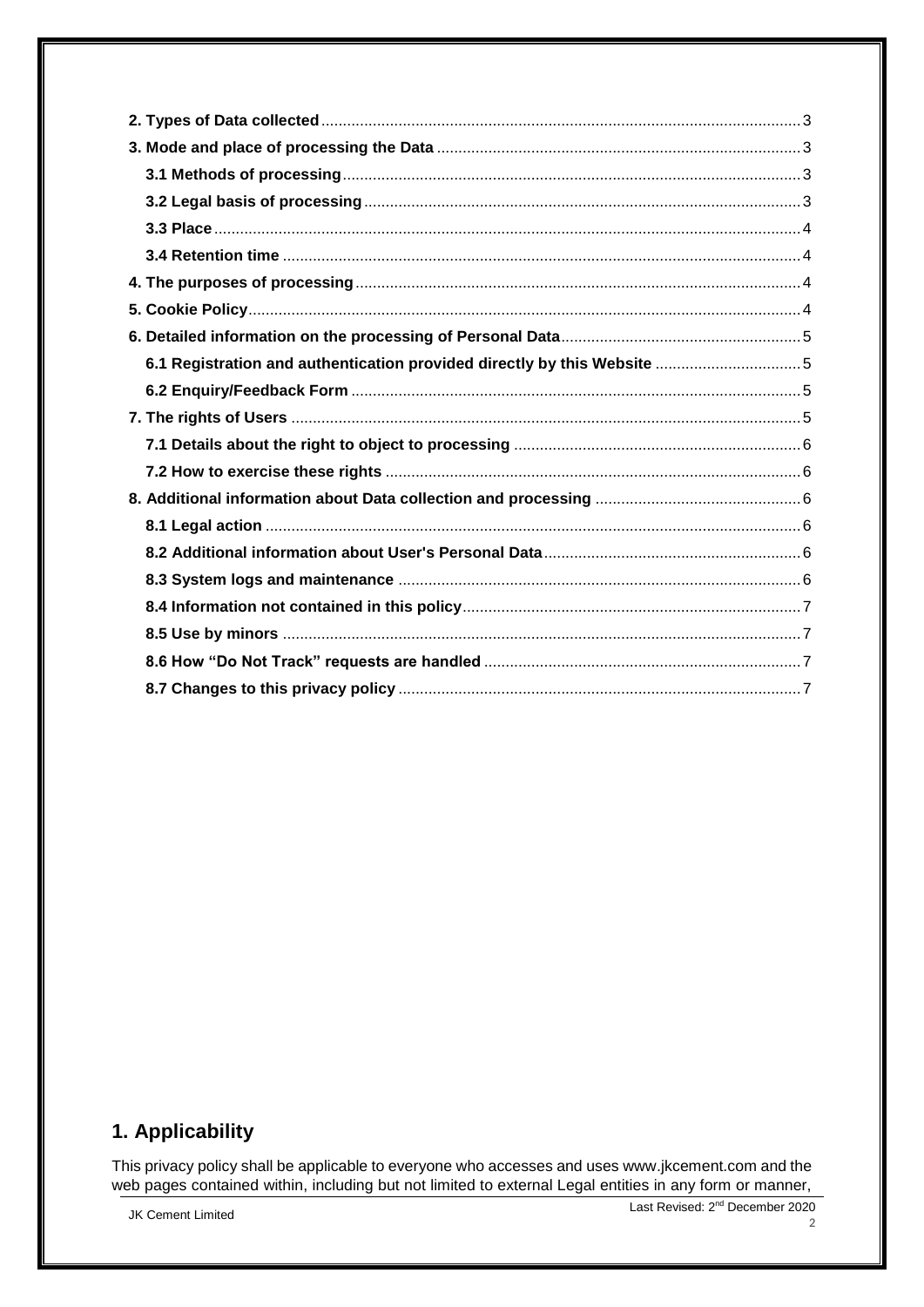# <span id="page-1-0"></span>1. Applicability

This privacy policy shall be applicable to everyone who accesses and uses www.jkcement.com and the web pages contained within, including but not limited to external Legal entities in any form or manner,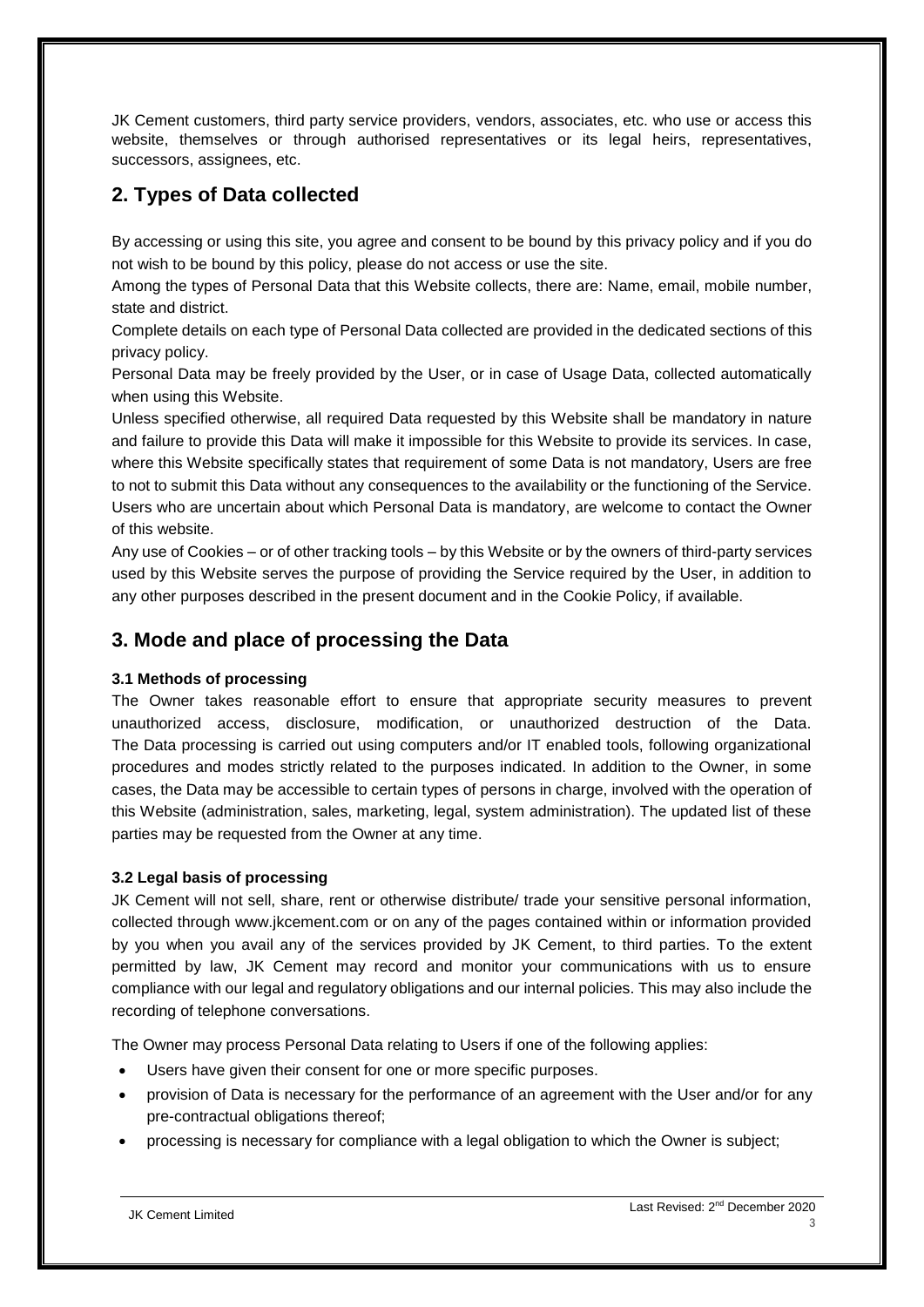JK Cement customers, third party service providers, vendors, associates, etc. who use or access this website, themselves or through authorised representatives or its legal heirs, representatives, successors, assignees, etc.

# <span id="page-2-0"></span>**2. Types of Data collected**

By accessing or using this site, you agree and consent to be bound by this privacy policy and if you do not wish to be bound by this policy, please do not access or use the site.

Among the types of Personal Data that this Website collects, there are: Name, email, mobile number, state and district.

Complete details on each type of Personal Data collected are provided in the dedicated sections of this privacy policy.

Personal Data may be freely provided by the User, or in case of Usage Data, collected automatically when using this Website.

Unless specified otherwise, all required Data requested by this Website shall be mandatory in nature and failure to provide this Data will make it impossible for this Website to provide its services. In case, where this Website specifically states that requirement of some Data is not mandatory, Users are free to not to submit this Data without any consequences to the availability or the functioning of the Service. Users who are uncertain about which Personal Data is mandatory, are welcome to contact the Owner of this website.

Any use of Cookies – or of other tracking tools – by this Website or by the owners of third-party services used by this Website serves the purpose of providing the Service required by the User, in addition to any other purposes described in the present document and in the Cookie Policy, if available.

# <span id="page-2-1"></span>**3. Mode and place of processing the Data**

## <span id="page-2-2"></span>**3.1 Methods of processing**

The Owner takes reasonable effort to ensure that appropriate security measures to prevent unauthorized access, disclosure, modification, or unauthorized destruction of the Data. The Data processing is carried out using computers and/or IT enabled tools, following organizational procedures and modes strictly related to the purposes indicated. In addition to the Owner, in some cases, the Data may be accessible to certain types of persons in charge, involved with the operation of this Website (administration, sales, marketing, legal, system administration). The updated list of these parties may be requested from the Owner at any time.

# <span id="page-2-3"></span>**3.2 Legal basis of processing**

JK Cement will not sell, share, rent or otherwise distribute/ trade your sensitive personal information, collected through www.jkcement.com or on any of the pages contained within or information provided by you when you avail any of the services provided by JK Cement, to third parties. To the extent permitted by law, JK Cement may record and monitor your communications with us to ensure compliance with our legal and regulatory obligations and our internal policies. This may also include the recording of telephone conversations.

The Owner may process Personal Data relating to Users if one of the following applies:

- Users have given their consent for one or more specific purposes.
- provision of Data is necessary for the performance of an agreement with the User and/or for any pre-contractual obligations thereof;
- processing is necessary for compliance with a legal obligation to which the Owner is subject;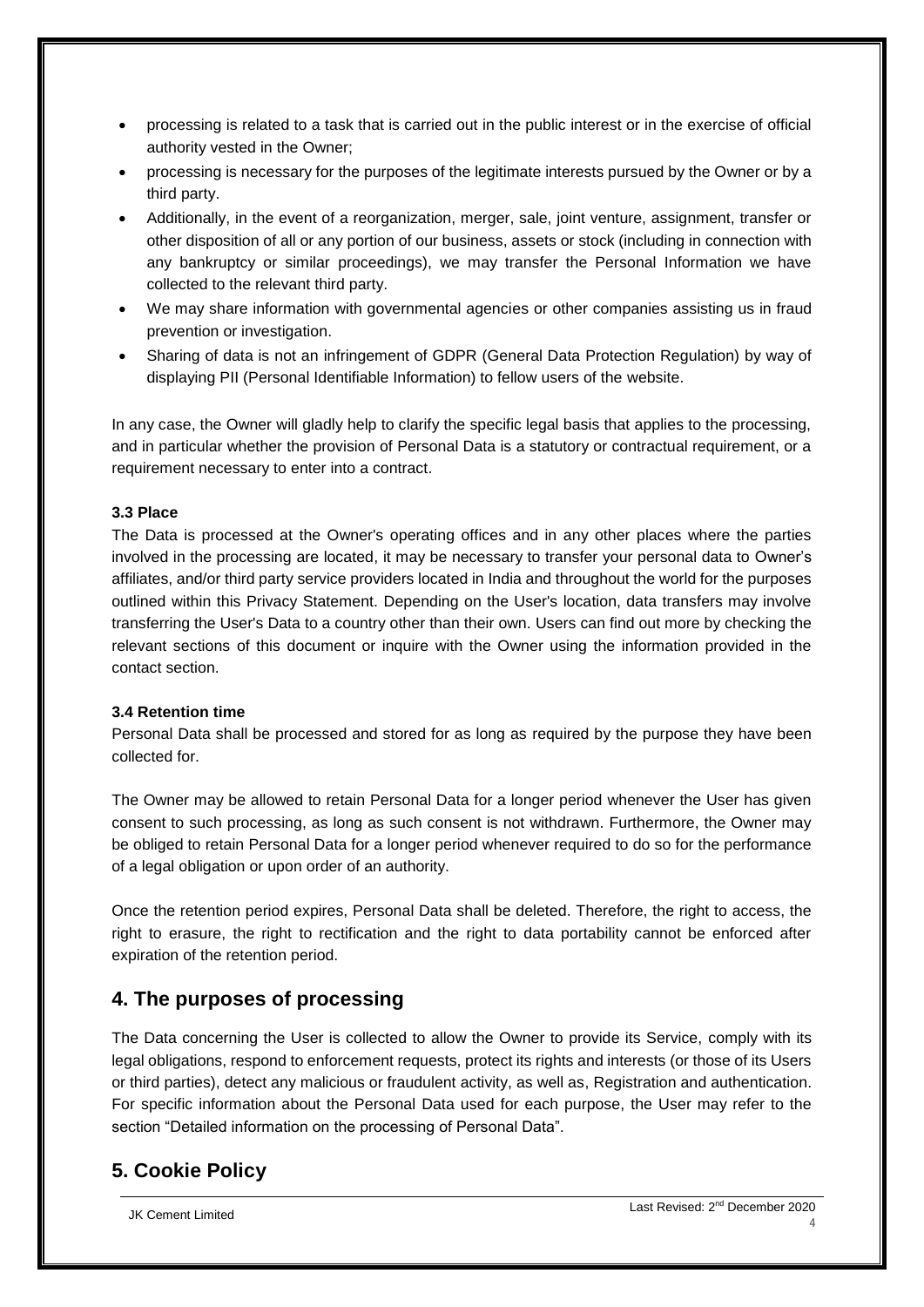- processing is related to a task that is carried out in the public interest or in the exercise of official authority vested in the Owner;
- processing is necessary for the purposes of the legitimate interests pursued by the Owner or by a third party.
- Additionally, in the event of a reorganization, merger, sale, joint venture, assignment, transfer or other disposition of all or any portion of our business, assets or stock (including in connection with any bankruptcy or similar proceedings), we may transfer the Personal Information we have collected to the relevant third party.
- We may share information with governmental agencies or other companies assisting us in fraud prevention or investigation.
- Sharing of data is not an infringement of GDPR (General Data Protection Regulation) by way of displaying PII (Personal Identifiable Information) to fellow users of the website.

In any case, the Owner will gladly help to clarify the specific legal basis that applies to the processing, and in particular whether the provision of Personal Data is a statutory or contractual requirement, or a requirement necessary to enter into a contract.

### <span id="page-3-0"></span>**3.3 Place**

The Data is processed at the Owner's operating offices and in any other places where the parties involved in the processing are located, it may be necessary to transfer your personal data to Owner's affiliates, and/or third party service providers located in India and throughout the world for the purposes outlined within this Privacy Statement. Depending on the User's location, data transfers may involve transferring the User's Data to a country other than their own. Users can find out more by checking the relevant sections of this document or inquire with the Owner using the information provided in the contact section.

#### <span id="page-3-1"></span>**3.4 Retention time**

Personal Data shall be processed and stored for as long as required by the purpose they have been collected for.

The Owner may be allowed to retain Personal Data for a longer period whenever the User has given consent to such processing, as long as such consent is not withdrawn. Furthermore, the Owner may be obliged to retain Personal Data for a longer period whenever required to do so for the performance of a legal obligation or upon order of an authority.

Once the retention period expires, Personal Data shall be deleted. Therefore, the right to access, the right to erasure, the right to rectification and the right to data portability cannot be enforced after expiration of the retention period.

# <span id="page-3-2"></span>**4. The purposes of processing**

The Data concerning the User is collected to allow the Owner to provide its Service, comply with its legal obligations, respond to enforcement requests, protect its rights and interests (or those of its Users or third parties), detect any malicious or fraudulent activity, as well as, Registration and authentication. For specific information about the Personal Data used for each purpose, the User may refer to the section "Detailed information on the processing of Personal Data".

# <span id="page-3-3"></span>**5. Cookie Policy**

JK Cement Limited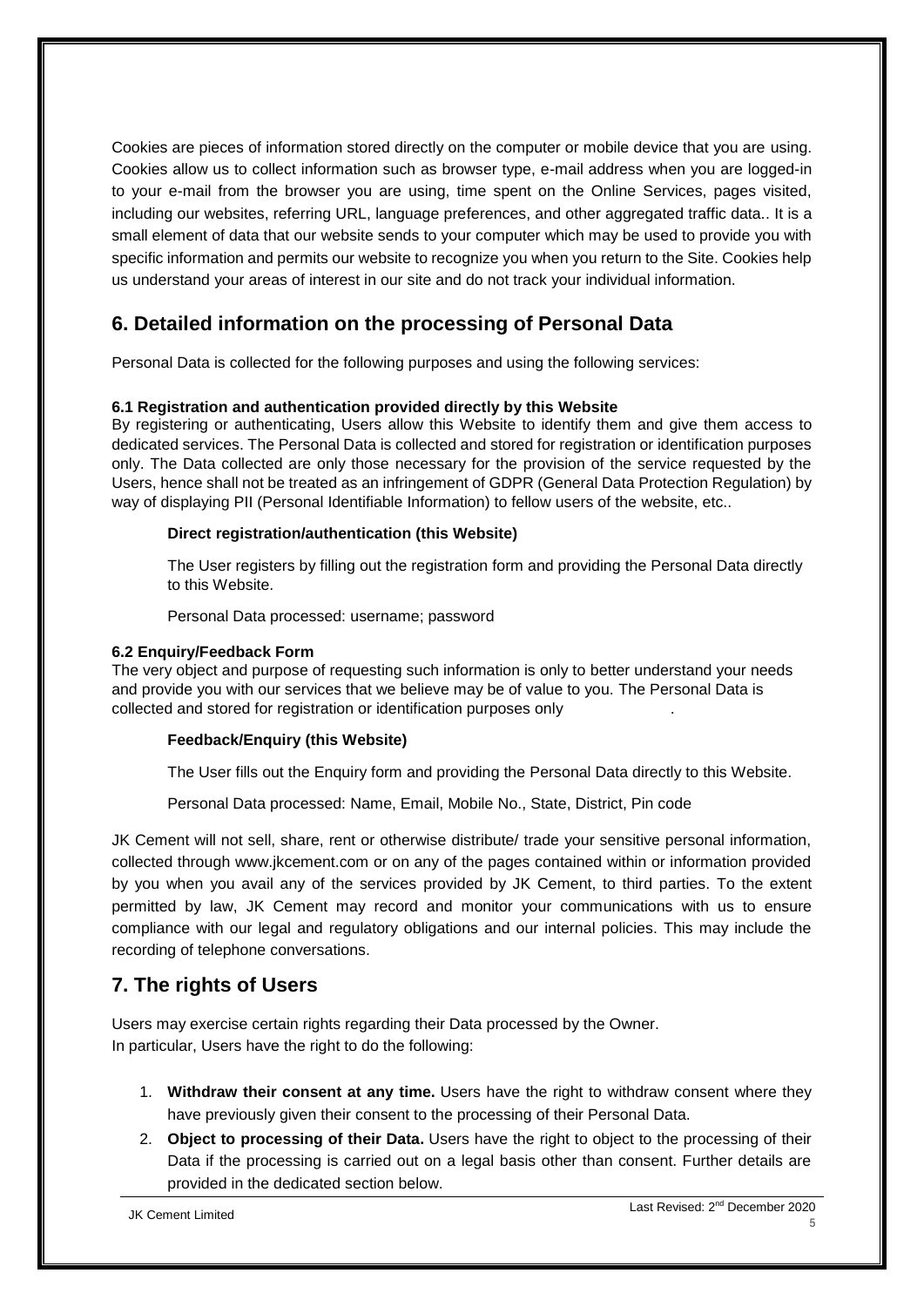Cookies are pieces of information stored directly on the computer or mobile device that you are using. Cookies allow us to collect information such as browser type, e-mail address when you are logged-in to your e-mail from the browser you are using, time spent on the Online Services, pages visited, including our websites, referring URL, language preferences, and other aggregated traffic data.. It is a small element of data that our website sends to your computer which may be used to provide you with specific information and permits our website to recognize you when you return to the Site. Cookies help us understand your areas of interest in our site and do not track your individual information.

# <span id="page-4-0"></span>**6. Detailed information on the processing of Personal Data**

Personal Data is collected for the following purposes and using the following services:

## <span id="page-4-1"></span>**6.1 Registration and authentication provided directly by this Website**

By registering or authenticating, Users allow this Website to identify them and give them access to dedicated services. The Personal Data is collected and stored for registration or identification purposes only. The Data collected are only those necessary for the provision of the service requested by the Users, hence shall not be treated as an infringement of GDPR (General Data Protection Regulation) by way of displaying PII (Personal Identifiable Information) to fellow users of the website, etc..

## **Direct registration/authentication (this Website)**

The User registers by filling out the registration form and providing the Personal Data directly to this Website.

Personal Data processed: username; password

#### <span id="page-4-2"></span>**6.2 Enquiry/Feedback Form**

The very object and purpose of requesting such information is only to better understand your needs and provide you with our services that we believe may be of value to you. The Personal Data is collected and stored for registration or identification purposes only .

## **Feedback/Enquiry (this Website)**

The User fills out the Enquiry form and providing the Personal Data directly to this Website.

Personal Data processed: Name, Email, Mobile No., State, District, Pin code

JK Cement will not sell, share, rent or otherwise distribute/ trade your sensitive personal information, collected through www.jkcement.com or on any of the pages contained within or information provided by you when you avail any of the services provided by JK Cement, to third parties. To the extent permitted by law, JK Cement may record and monitor your communications with us to ensure compliance with our legal and regulatory obligations and our internal policies. This may include the recording of telephone conversations.

# <span id="page-4-3"></span>**7. The rights of Users**

Users may exercise certain rights regarding their Data processed by the Owner. In particular, Users have the right to do the following:

- 1. **Withdraw their consent at any time.** Users have the right to withdraw consent where they have previously given their consent to the processing of their Personal Data.
- 2. **Object to processing of their Data.** Users have the right to object to the processing of their Data if the processing is carried out on a legal basis other than consent. Further details are provided in the dedicated section below.

JK Cement Limited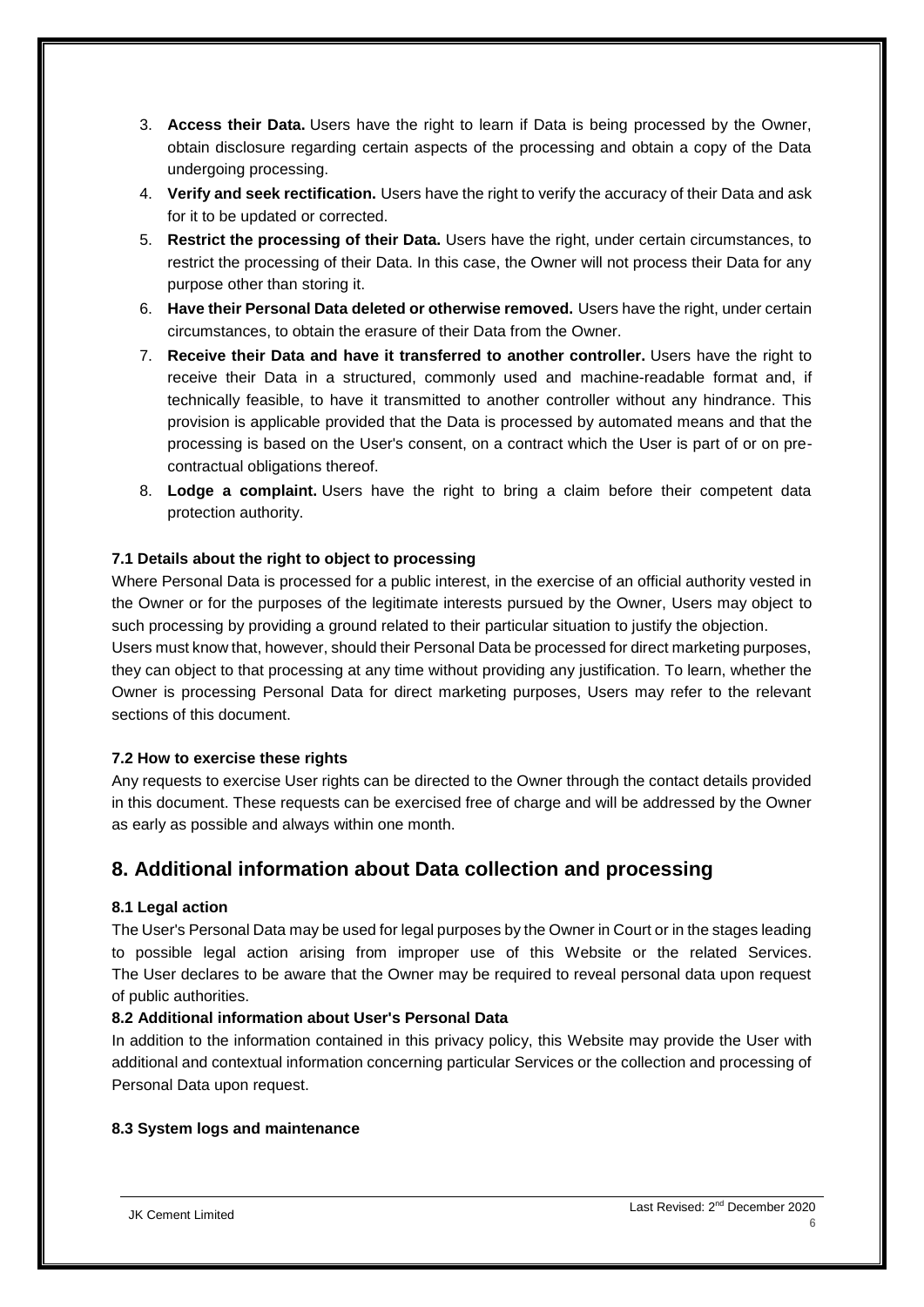- 3. **Access their Data.** Users have the right to learn if Data is being processed by the Owner, obtain disclosure regarding certain aspects of the processing and obtain a copy of the Data undergoing processing.
- 4. **Verify and seek rectification.** Users have the right to verify the accuracy of their Data and ask for it to be updated or corrected.
- 5. **Restrict the processing of their Data.** Users have the right, under certain circumstances, to restrict the processing of their Data. In this case, the Owner will not process their Data for any purpose other than storing it.
- 6. **Have their Personal Data deleted or otherwise removed.** Users have the right, under certain circumstances, to obtain the erasure of their Data from the Owner.
- 7. **Receive their Data and have it transferred to another controller.** Users have the right to receive their Data in a structured, commonly used and machine-readable format and, if technically feasible, to have it transmitted to another controller without any hindrance. This provision is applicable provided that the Data is processed by automated means and that the processing is based on the User's consent, on a contract which the User is part of or on precontractual obligations thereof.
- 8. **Lodge a complaint.** Users have the right to bring a claim before their competent data protection authority.

## <span id="page-5-0"></span>**7.1 Details about the right to object to processing**

Where Personal Data is processed for a public interest, in the exercise of an official authority vested in the Owner or for the purposes of the legitimate interests pursued by the Owner, Users may object to such processing by providing a ground related to their particular situation to justify the objection.

Users must know that, however, should their Personal Data be processed for direct marketing purposes, they can object to that processing at any time without providing any justification. To learn, whether the Owner is processing Personal Data for direct marketing purposes, Users may refer to the relevant sections of this document.

#### <span id="page-5-1"></span>**7.2 How to exercise these rights**

Any requests to exercise User rights can be directed to the Owner through the contact details provided in this document. These requests can be exercised free of charge and will be addressed by the Owner as early as possible and always within one month.

# <span id="page-5-2"></span>**8. Additional information about Data collection and processing**

#### <span id="page-5-3"></span>**8.1 Legal action**

The User's Personal Data may be used for legal purposes by the Owner in Court or in the stages leading to possible legal action arising from improper use of this Website or the related Services. The User declares to be aware that the Owner may be required to reveal personal data upon request of public authorities.

#### <span id="page-5-4"></span>**8.2 Additional information about User's Personal Data**

In addition to the information contained in this privacy policy, this Website may provide the User with additional and contextual information concerning particular Services or the collection and processing of Personal Data upon request.

### <span id="page-5-5"></span>**8.3 System logs and maintenance**

JK Cement Limited